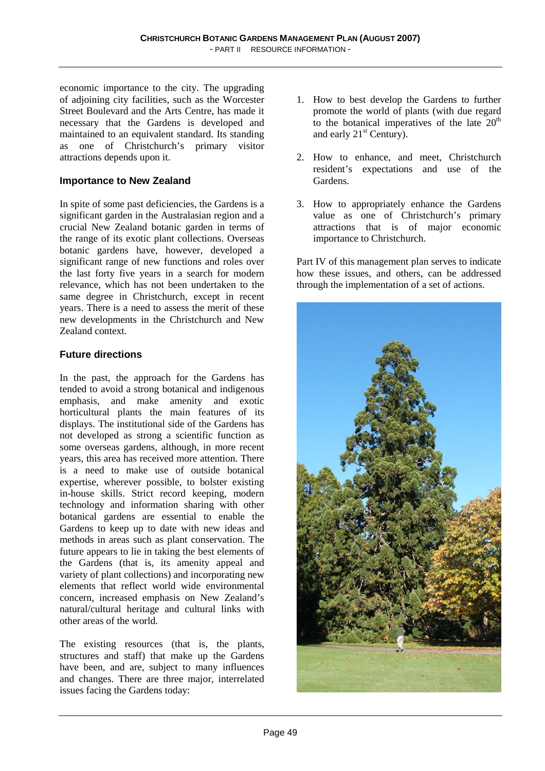economic importance to the city. The upgrading of adjoining city facilities, such as the Worcester Street Boulevard and the Arts Centre, has made it necessary that the Gardens is developed and maintained to an equivalent standard. Its standing as one of Christchurch's primary visitor attractions depends upon it.

#### **Importance to New Zealand**

In spite of some past deficiencies, the Gardens is a significant garden in the Australasian region and a crucial New Zealand botanic garden in terms of the range of its exotic plant collections. Overseas botanic gardens have, however, developed a significant range of new functions and roles over the last forty five years in a search for modern relevance, which has not been undertaken to the same degree in Christchurch, except in recent years. There is a need to assess the merit of these new developments in the Christchurch and New Zealand context.

### **Future directions**

In the past, the approach for the Gardens has tended to avoid a strong botanical and indigenous emphasis, and make amenity and exotic horticultural plants the main features of its displays. The institutional side of the Gardens has not developed as strong a scientific function as some overseas gardens, although, in more recent years, this area has received more attention. There is a need to make use of outside botanical expertise, wherever possible, to bolster existing in-house skills. Strict record keeping, modern technology and information sharing with other botanical gardens are essential to enable the Gardens to keep up to date with new ideas and methods in areas such as plant conservation. The future appears to lie in taking the best elements of the Gardens (that is, its amenity appeal and variety of plant collections) and incorporating new elements that reflect world wide environmental concern, increased emphasis on New Zealand's natural/cultural heritage and cultural links with other areas of the world.

The existing resources (that is, the plants, structures and staff) that make up the Gardens have been, and are, subject to many influences and changes. There are three major, interrelated issues facing the Gardens today:

- 1. How to best develop the Gardens to further promote the world of plants (with due regard to the botanical imperatives of the late  $20<sup>th</sup>$ and early  $21<sup>st</sup>$  Century).
- 2. How to enhance, and meet, Christchurch resident's expectations and use of the Gardens.
- 3. How to appropriately enhance the Gardens value as one of Christchurch's primary attractions that is of major economic importance to Christchurch.

Part IV of this management plan serves to indicate how these issues, and others, can be addressed through the implementation of a set of actions.

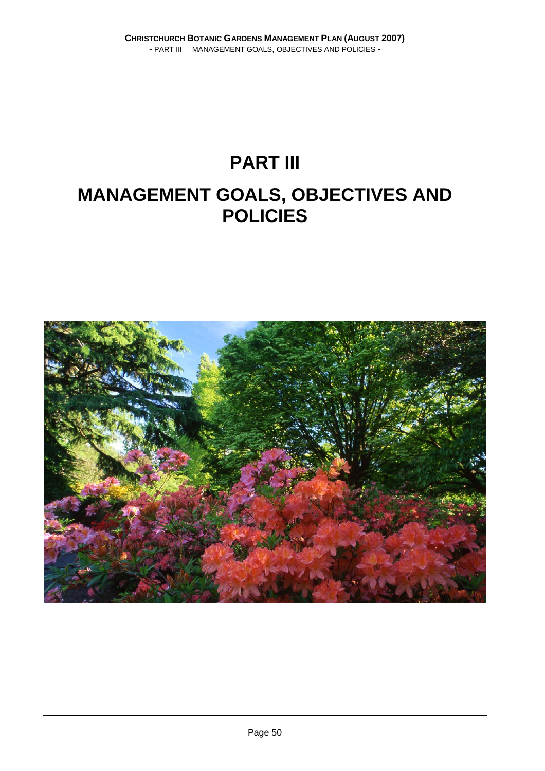# **PART III MANAGEMENT GOALS, OBJECTIVES AND POLICIES**

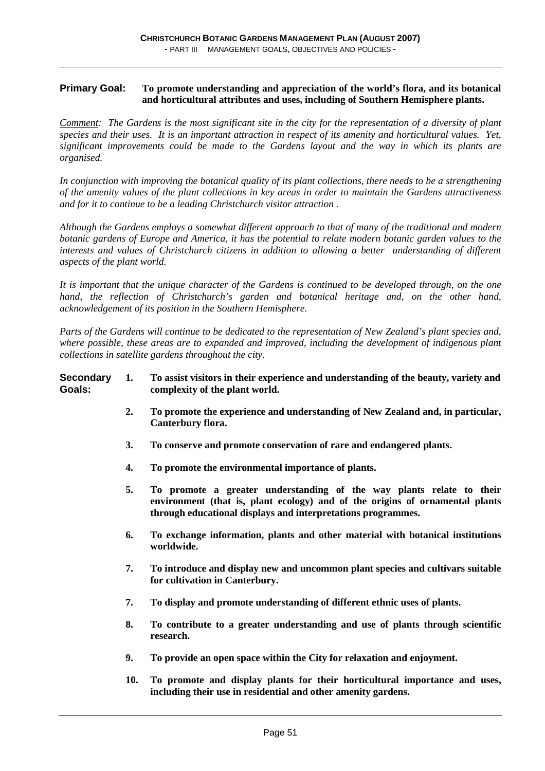#### **Primary Goal: To promote understanding and appreciation of the world's flora, and its botanical and horticultural attributes and uses, including of Southern Hemisphere plants.**

*Comment: The Gardens is the most significant site in the city for the representation of a diversity of plant species and their uses. It is an important attraction in respect of its amenity and horticultural values. Yet, significant improvements could be made to the Gardens layout and the way in which its plants are organised.* 

*In conjunction with improving the botanical quality of its plant collections, there needs to be a strengthening of the amenity values of the plant collections in key areas in order to maintain the Gardens attractiveness and for it to continue to be a leading Christchurch visitor attraction .* 

*Although the Gardens employs a somewhat different approach to that of many of the traditional and modern botanic gardens of Europe and America, it has the potential to relate modern botanic garden values to the interests and values of Christchurch citizens in addition to allowing a better understanding of different aspects of the plant world.* 

*It is important that the unique character of the Gardens is continued to be developed through, on the one hand, the reflection of Christchurch's garden and botanical heritage and, on the other hand, acknowledgement of its position in the Southern Hemisphere.* 

*Parts of the Gardens will continue to be dedicated to the representation of New Zealand's plant species and, where possible, these areas are to expanded and improved, including the development of indigenous plant collections in satellite gardens throughout the city.* 

#### **Secondary 1. To assist visitors in their experience and understanding of the beauty, variety and Goals: complexity of the plant world.**

- **2. To promote the experience and understanding of New Zealand and, in particular, Canterbury flora.**
- **3. To conserve and promote conservation of rare and endangered plants.**
- **4. To promote the environmental importance of plants.**
- **5. To promote a greater understanding of the way plants relate to their environment (that is, plant ecology) and of the origins of ornamental plants through educational displays and interpretations programmes.**
- **6. To exchange information, plants and other material with botanical institutions worldwide.**
- **7. To introduce and display new and uncommon plant species and cultivars suitable for cultivation in Canterbury.**
- **7. To display and promote understanding of different ethnic uses of plants.**
- **8. To contribute to a greater understanding and use of plants through scientific research.**
- **9. To provide an open space within the City for relaxation and enjoyment.**
- **10. To promote and display plants for their horticultural importance and uses, including their use in residential and other amenity gardens.**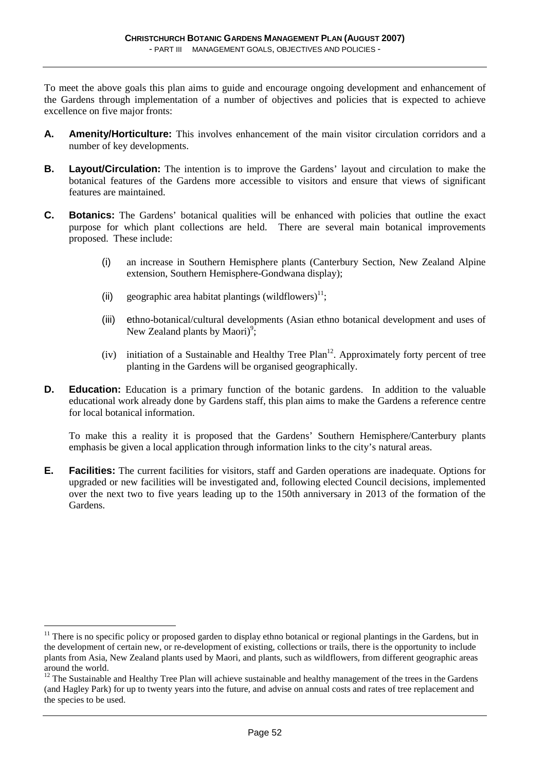To meet the above goals this plan aims to guide and encourage ongoing development and enhancement of the Gardens through implementation of a number of objectives and policies that is expected to achieve excellence on five major fronts:

- **A. Amenity/Horticulture:** This involves enhancement of the main visitor circulation corridors and a number of key developments.
- **B.** Lavout/Circulation: The intention is to improve the Gardens' layout and circulation to make the botanical features of the Gardens more accessible to visitors and ensure that views of significant features are maintained.
- **C. Botanics:** The Gardens' botanical qualities will be enhanced with policies that outline the exact purpose for which plant collections are held. There are several main botanical improvements proposed. These include:
	- (i) an increase in Southern Hemisphere plants (Canterbury Section, New Zealand Alpine extension, Southern Hemisphere-Gondwana display);
	- (ii) geographic area habitat plantings (wildflowers)<sup>11</sup>;
	- (iii) ethno-botanical/cultural developments (Asian ethno botanical development and uses of New Zealand plants by Maori)<sup>9</sup>;
	- (iv) initiation of a Sustainable and Healthy Tree Plan<sup>12</sup>. Approximately forty percent of tree planting in the Gardens will be organised geographically.
- **D.** Education: Education is a primary function of the botanic gardens. In addition to the valuable educational work already done by Gardens staff, this plan aims to make the Gardens a reference centre for local botanical information.

To make this a reality it is proposed that the Gardens' Southern Hemisphere/Canterbury plants emphasis be given a local application through information links to the city's natural areas.

**E.** Facilities: The current facilities for visitors, staff and Garden operations are inadequate. Options for upgraded or new facilities will be investigated and, following elected Council decisions, implemented over the next two to five years leading up to the 150th anniversary in 2013 of the formation of the Gardens.

 $\overline{a}$ 

 $11$  There is no specific policy or proposed garden to display ethno botanical or regional plantings in the Gardens, but in the development of certain new, or re-development of existing, collections or trails, there is the opportunity to include plants from Asia, New Zealand plants used by Maori, and plants, such as wildflowers, from different geographic areas around the world.

 $12$  The Sustainable and Healthy Tree Plan will achieve sustainable and healthy management of the trees in the Gardens (and Hagley Park) for up to twenty years into the future, and advise on annual costs and rates of tree replacement and the species to be used.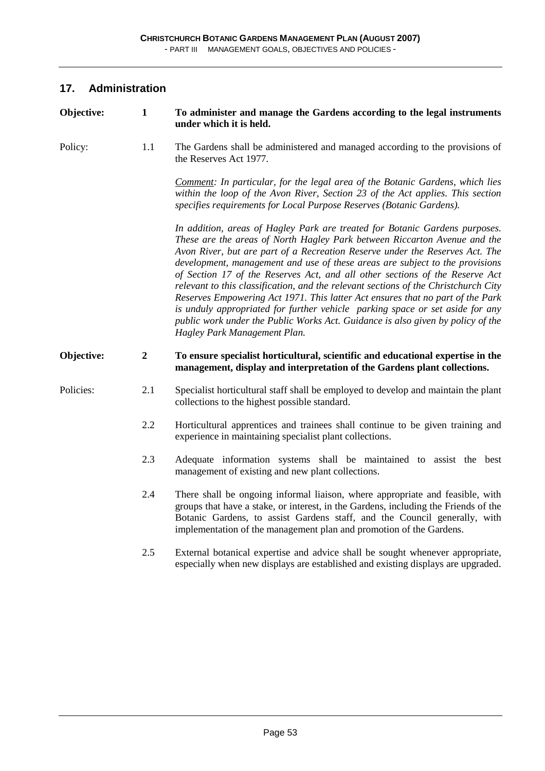## **17. Administration**

| Objective: | $\mathbf{1}$     | To administer and manage the Gardens according to the legal instruments<br>under which it is held.                                                                                                                                                                                                                                                                                                                                                                                                                                                                                                                                                                                                                                                                                    |
|------------|------------------|---------------------------------------------------------------------------------------------------------------------------------------------------------------------------------------------------------------------------------------------------------------------------------------------------------------------------------------------------------------------------------------------------------------------------------------------------------------------------------------------------------------------------------------------------------------------------------------------------------------------------------------------------------------------------------------------------------------------------------------------------------------------------------------|
| Policy:    | 1.1              | The Gardens shall be administered and managed according to the provisions of<br>the Reserves Act 1977.                                                                                                                                                                                                                                                                                                                                                                                                                                                                                                                                                                                                                                                                                |
|            |                  | Comment: In particular, for the legal area of the Botanic Gardens, which lies<br>within the loop of the Avon River, Section 23 of the Act applies. This section<br>specifies requirements for Local Purpose Reserves (Botanic Gardens).                                                                                                                                                                                                                                                                                                                                                                                                                                                                                                                                               |
|            |                  | In addition, areas of Hagley Park are treated for Botanic Gardens purposes.<br>These are the areas of North Hagley Park between Riccarton Avenue and the<br>Avon River, but are part of a Recreation Reserve under the Reserves Act. The<br>development, management and use of these areas are subject to the provisions<br>of Section 17 of the Reserves Act, and all other sections of the Reserve Act<br>relevant to this classification, and the relevant sections of the Christchurch City<br>Reserves Empowering Act 1971. This latter Act ensures that no part of the Park<br>is unduly appropriated for further vehicle parking space or set aside for any<br>public work under the Public Works Act. Guidance is also given by policy of the<br>Hagley Park Management Plan. |
| Objective: | $\boldsymbol{2}$ | To ensure specialist horticultural, scientific and educational expertise in the<br>management, display and interpretation of the Gardens plant collections.                                                                                                                                                                                                                                                                                                                                                                                                                                                                                                                                                                                                                           |
| Policies:  | 2.1              | Specialist horticultural staff shall be employed to develop and maintain the plant<br>collections to the highest possible standard.                                                                                                                                                                                                                                                                                                                                                                                                                                                                                                                                                                                                                                                   |
|            | 2.2              | Horticultural apprentices and trainees shall continue to be given training and<br>experience in maintaining specialist plant collections.                                                                                                                                                                                                                                                                                                                                                                                                                                                                                                                                                                                                                                             |
|            | 2.3              | Adequate information systems shall be maintained to assist the best<br>management of existing and new plant collections.                                                                                                                                                                                                                                                                                                                                                                                                                                                                                                                                                                                                                                                              |
|            | 2.4              | There shall be ongoing informal liaison, where appropriate and feasible, with<br>groups that have a stake, or interest, in the Gardens, including the Friends of the<br>Botanic Gardens, to assist Gardens staff, and the Council generally, with<br>implementation of the management plan and promotion of the Gardens.                                                                                                                                                                                                                                                                                                                                                                                                                                                              |
|            | 2.5              | External botanical expertise and advice shall be sought whenever appropriate,<br>especially when new displays are established and existing displays are upgraded.                                                                                                                                                                                                                                                                                                                                                                                                                                                                                                                                                                                                                     |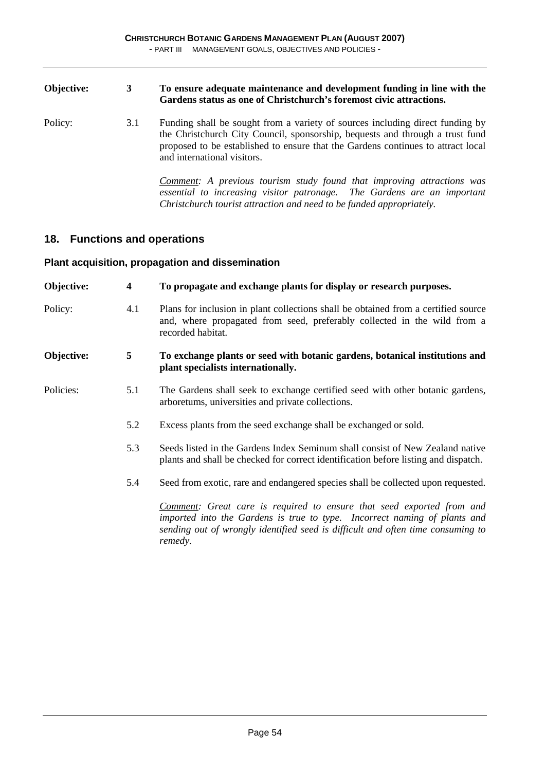#### **Objective: 3 To ensure adequate maintenance and development funding in line with the Gardens status as one of Christchurch's foremost civic attractions.**

Policy: 3.1 Funding shall be sought from a variety of sources including direct funding by the Christchurch City Council, sponsorship, bequests and through a trust fund proposed to be established to ensure that the Gardens continues to attract local and international visitors.

> *Comment: A previous tourism study found that improving attractions was essential to increasing visitor patronage. The Gardens are an important Christchurch tourist attraction and need to be funded appropriately.*

#### **18. Functions and operations**

#### **Plant acquisition, propagation and dissemination**

| Objective: | $\overline{\mathbf{4}}$ | To propagate and exchange plants for display or research purposes.                                                                                                                                                                               |
|------------|-------------------------|--------------------------------------------------------------------------------------------------------------------------------------------------------------------------------------------------------------------------------------------------|
| Policy:    | 4.1                     | Plans for inclusion in plant collections shall be obtained from a certified source<br>and, where propagated from seed, preferably collected in the wild from a<br>recorded habitat.                                                              |
| Objective: | 5                       | To exchange plants or seed with botanic gardens, botanical institutions and<br>plant specialists internationally.                                                                                                                                |
| Policies:  | 5.1                     | The Gardens shall seek to exchange certified seed with other botanic gardens,<br>arboretums, universities and private collections.                                                                                                               |
|            | 5.2                     | Excess plants from the seed exchange shall be exchanged or sold.                                                                                                                                                                                 |
|            | 5.3                     | Seeds listed in the Gardens Index Seminum shall consist of New Zealand native<br>plants and shall be checked for correct identification before listing and dispatch.                                                                             |
|            | 5.4                     | Seed from exotic, rare and endangered species shall be collected upon requested.                                                                                                                                                                 |
|            |                         | Comment: Great care is required to ensure that seed exported from and<br>imported into the Gardens is true to type. Incorrect naming of plants and<br>sending out of wrongly identified seed is difficult and often time consuming to<br>remedy. |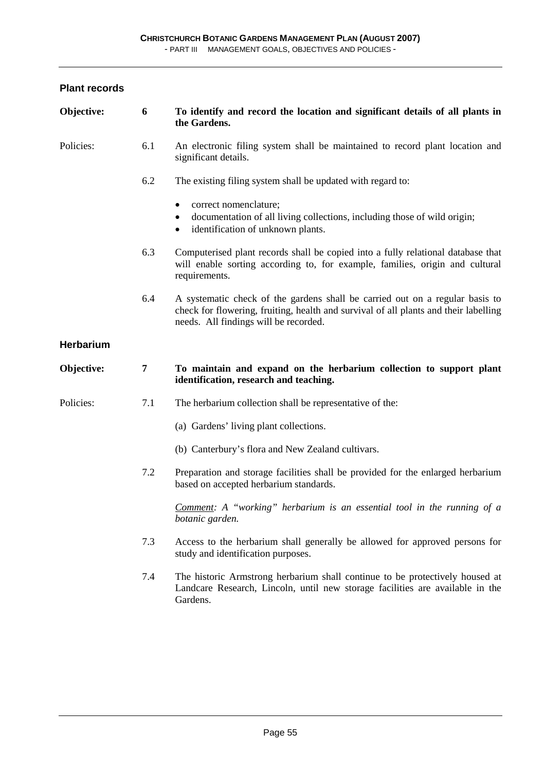- PART III MANAGEMENT GOALS, OBJECTIVES AND POLICIES -

| Objective: | 6              | To identify and record the location and significant details of all plants in<br>the Gardens.                                                                                                                  |
|------------|----------------|---------------------------------------------------------------------------------------------------------------------------------------------------------------------------------------------------------------|
| Policies:  | 6.1            | An electronic filing system shall be maintained to record plant location and<br>significant details.                                                                                                          |
|            | 6.2            | The existing filing system shall be updated with regard to:                                                                                                                                                   |
|            |                | correct nomenclature;<br>٠<br>documentation of all living collections, including those of wild origin;<br>٠<br>identification of unknown plants.<br>$\bullet$                                                 |
|            | 6.3            | Computerised plant records shall be copied into a fully relational database that<br>will enable sorting according to, for example, families, origin and cultural<br>requirements.                             |
|            | 6.4            | A systematic check of the gardens shall be carried out on a regular basis to<br>check for flowering, fruiting, health and survival of all plants and their labelling<br>needs. All findings will be recorded. |
| Herbarium  |                |                                                                                                                                                                                                               |
| Objective: | $\overline{7}$ | To maintain and expand on the herbarium collection to support plant<br>identification, research and teaching.                                                                                                 |
| Policies:  | 7.1            | The herbarium collection shall be representative of the:                                                                                                                                                      |
|            |                | (a) Gardens' living plant collections.                                                                                                                                                                        |
|            |                | (b) Canterbury's flora and New Zealand cultivars.                                                                                                                                                             |
|            | 7.2            | Preparation and storage facilities shall be provided for the enlarged herbarium<br>based on accepted herbarium standards.                                                                                     |
|            |                | <b>Comment:</b> A "working" herbarium is an essential tool in the running of a<br>botanic garden.                                                                                                             |
|            | 7.3            | Access to the herbarium shall generally be allowed for approved persons for<br>study and identification purposes.                                                                                             |
|            | 7.4            | The historic Armstrong herbarium shall continue to be protectively housed at<br>Landcare Research, Lincoln, until new storage facilities are available in the<br>Gardens.                                     |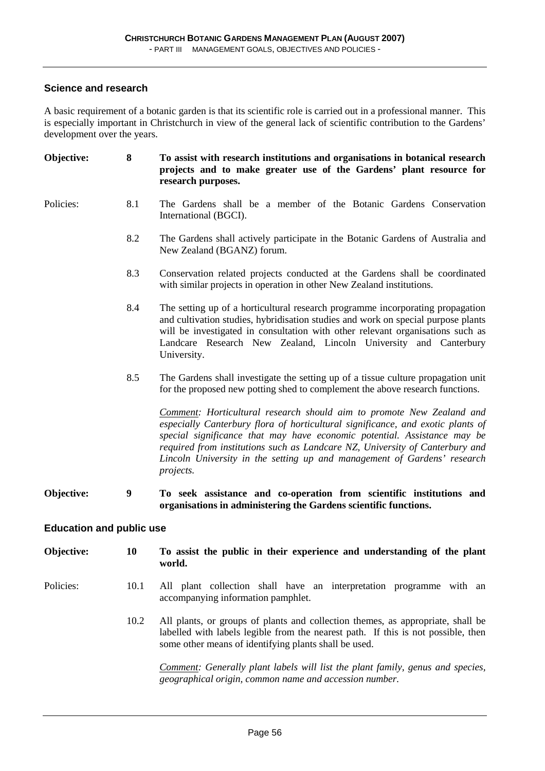#### **Science and research**

A basic requirement of a botanic garden is that its scientific role is carried out in a professional manner. This is especially important in Christchurch in view of the general lack of scientific contribution to the Gardens' development over the years.

| Objective:                      | 8                | To assist with research institutions and organisations in botanical research<br>projects and to make greater use of the Gardens' plant resource for<br>research purposes.                                                                                                                                                                                                                                     |
|---------------------------------|------------------|---------------------------------------------------------------------------------------------------------------------------------------------------------------------------------------------------------------------------------------------------------------------------------------------------------------------------------------------------------------------------------------------------------------|
| Policies:                       | 8.1              | The Gardens shall be a member of the Botanic Gardens Conservation<br>International (BGCI).                                                                                                                                                                                                                                                                                                                    |
|                                 | 8.2              | The Gardens shall actively participate in the Botanic Gardens of Australia and<br>New Zealand (BGANZ) forum.                                                                                                                                                                                                                                                                                                  |
|                                 | 8.3              | Conservation related projects conducted at the Gardens shall be coordinated<br>with similar projects in operation in other New Zealand institutions.                                                                                                                                                                                                                                                          |
|                                 | 8.4              | The setting up of a horticultural research programme incorporating propagation<br>and cultivation studies, hybridisation studies and work on special purpose plants<br>will be investigated in consultation with other relevant organisations such as<br>Landcare Research New Zealand, Lincoln University and Canterbury<br>University.                                                                      |
|                                 | 8.5              | The Gardens shall investigate the setting up of a tissue culture propagation unit<br>for the proposed new potting shed to complement the above research functions.                                                                                                                                                                                                                                            |
|                                 |                  | Comment: Horticultural research should aim to promote New Zealand and<br>especially Canterbury flora of horticultural significance, and exotic plants of<br>special significance that may have economic potential. Assistance may be<br>required from institutions such as Landcare NZ, University of Canterbury and<br>Lincoln University in the setting up and management of Gardens' research<br>projects. |
| Objective:                      | $\boldsymbol{9}$ | To seek assistance and co-operation from scientific institutions and<br>organisations in administering the Gardens scientific functions.                                                                                                                                                                                                                                                                      |
| <b>Education and public use</b> |                  |                                                                                                                                                                                                                                                                                                                                                                                                               |
| Objective:                      | 10               | To assist the public in their experience and understanding of the plant<br>world.                                                                                                                                                                                                                                                                                                                             |
| Policies:                       | 10.1             | All plant collection shall have an interpretation programme with an<br>accompanying information pamphlet.                                                                                                                                                                                                                                                                                                     |

 10.2 All plants, or groups of plants and collection themes, as appropriate, shall be labelled with labels legible from the nearest path. If this is not possible, then some other means of identifying plants shall be used.

 *Comment: Generally plant labels will list the plant family, genus and species, geographical origin, common name and accession number.*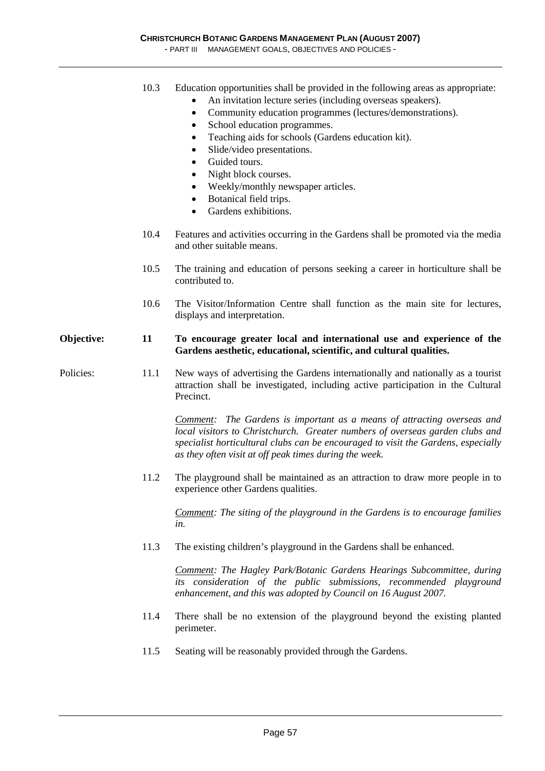- PART III MANAGEMENT GOALS, OBJECTIVES AND POLICIES -

- 10.3 Education opportunities shall be provided in the following areas as appropriate:
	- An invitation lecture series (including overseas speakers).
	- Community education programmes (lectures/demonstrations).
	- School education programmes.
	- Teaching aids for schools (Gardens education kit).
	- Slide/video presentations.
	- Guided tours.
	- Night block courses.
	- Weekly/monthly newspaper articles.
	- Botanical field trips.
	- Gardens exhibitions.
- 10.4 Features and activities occurring in the Gardens shall be promoted via the media and other suitable means.
- 10.5 The training and education of persons seeking a career in horticulture shall be contributed to.
- 10.6 The Visitor/Information Centre shall function as the main site for lectures, displays and interpretation.

#### **Objective: 11 To encourage greater local and international use and experience of the Gardens aesthetic, educational, scientific, and cultural qualities.**

Policies: 11.1 New ways of advertising the Gardens internationally and nationally as a tourist attraction shall be investigated, including active participation in the Cultural Precinct.

> *Comment: The Gardens is important as a means of attracting overseas and local visitors to Christchurch. Greater numbers of overseas garden clubs and specialist horticultural clubs can be encouraged to visit the Gardens, especially as they often visit at off peak times during the week.*

 11.2 The playground shall be maintained as an attraction to draw more people in to experience other Gardens qualities.

 *Comment: The siting of the playground in the Gardens is to encourage families in.* 

11.3 The existing children's playground in the Gardens shall be enhanced.

 *Comment: The Hagley Park/Botanic Gardens Hearings Subcommittee, during its consideration of the public submissions, recommended playground enhancement, and this was adopted by Council on 16 August 2007.* 

- 11.4 There shall be no extension of the playground beyond the existing planted perimeter.
- 11.5 Seating will be reasonably provided through the Gardens.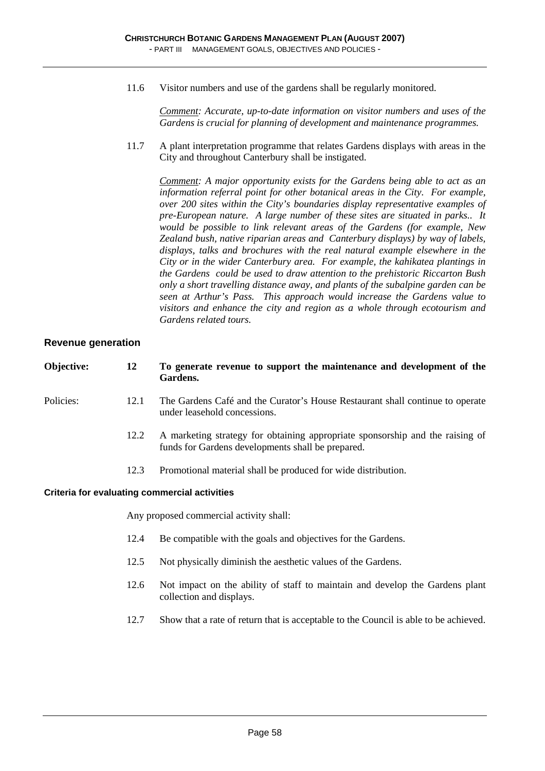11.6 Visitor numbers and use of the gardens shall be regularly monitored.

 *Comment: Accurate, up-to-date information on visitor numbers and uses of the Gardens is crucial for planning of development and maintenance programmes.* 

 11.7 A plant interpretation programme that relates Gardens displays with areas in the City and throughout Canterbury shall be instigated.

 *Comment: A major opportunity exists for the Gardens being able to act as an information referral point for other botanical areas in the City. For example, over 200 sites within the City's boundaries display representative examples of pre-European nature. A large number of these sites are situated in parks.. It would be possible to link relevant areas of the Gardens (for example, New Zealand bush, native riparian areas and Canterbury displays) by way of labels, displays, talks and brochures with the real natural example elsewhere in the City or in the wider Canterbury area. For example, the kahikatea plantings in the Gardens could be used to draw attention to the prehistoric Riccarton Bush only a short travelling distance away, and plants of the subalpine garden can be seen at Arthur's Pass. This approach would increase the Gardens value to visitors and enhance the city and region as a whole through ecotourism and Gardens related tours.* 

#### **Revenue generation**

| Objective: | 12   | To generate revenue to support the maintenance and development of the<br>Gardens.                                                  |
|------------|------|------------------------------------------------------------------------------------------------------------------------------------|
| Policies:  | 12.1 | The Gardens Café and the Curator's House Restaurant shall continue to operate<br>under leasehold concessions.                      |
|            | 12.2 | A marketing strategy for obtaining appropriate sponsorship and the raising of<br>funds for Gardens developments shall be prepared. |
|            | 12.3 | Promotional material shall be produced for wide distribution.                                                                      |
|            |      | Critoria for ovaluating commorcial activities                                                                                      |

#### **Criteria for evaluating commercial activities**

Any proposed commercial activity shall:

- 12.4 Be compatible with the goals and objectives for the Gardens.
- 12.5 Not physically diminish the aesthetic values of the Gardens.
- 12.6 Not impact on the ability of staff to maintain and develop the Gardens plant collection and displays.
- 12.7 Show that a rate of return that is acceptable to the Council is able to be achieved.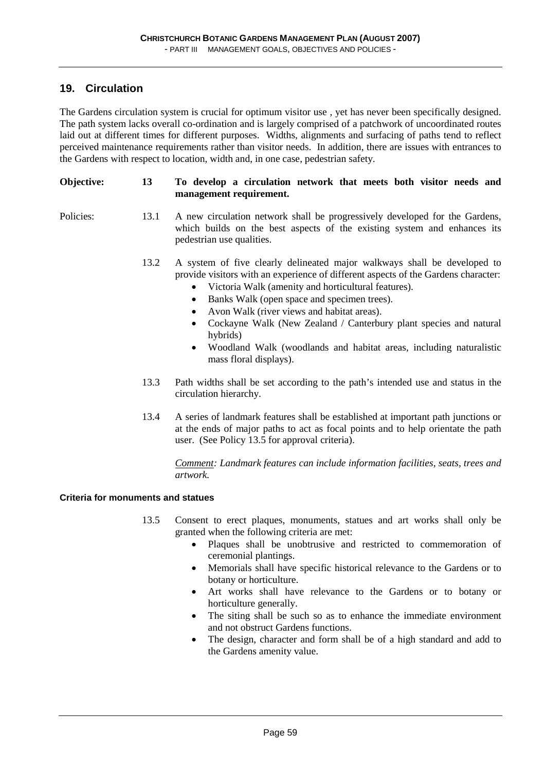### **19. Circulation**

The Gardens circulation system is crucial for optimum visitor use , yet has never been specifically designed. The path system lacks overall co-ordination and is largely comprised of a patchwork of uncoordinated routes laid out at different times for different purposes. Widths, alignments and surfacing of paths tend to reflect perceived maintenance requirements rather than visitor needs. In addition, there are issues with entrances to the Gardens with respect to location, width and, in one case, pedestrian safety.

#### **Objective: 13 To develop a circulation network that meets both visitor needs and management requirement.**

- Policies: 13.1 A new circulation network shall be progressively developed for the Gardens, which builds on the best aspects of the existing system and enhances its pedestrian use qualities.
	- 13.2 A system of five clearly delineated major walkways shall be developed to provide visitors with an experience of different aspects of the Gardens character:
		- Victoria Walk (amenity and horticultural features).
		- Banks Walk (open space and specimen trees).
		- Avon Walk (river views and habitat areas).
		- Cockayne Walk (New Zealand / Canterbury plant species and natural hybrids)
		- Woodland Walk (woodlands and habitat areas, including naturalistic mass floral displays).
	- 13.3 Path widths shall be set according to the path's intended use and status in the circulation hierarchy.
	- 13.4 A series of landmark features shall be established at important path junctions or at the ends of major paths to act as focal points and to help orientate the path user. (See Policy 13.5 for approval criteria).

*Comment: Landmark features can include information facilities, seats, trees and artwork.* 

#### **Criteria for monuments and statues**

- 13.5 Consent to erect plaques, monuments, statues and art works shall only be granted when the following criteria are met:
	- Plaques shall be unobtrusive and restricted to commemoration of ceremonial plantings.
	- Memorials shall have specific historical relevance to the Gardens or to botany or horticulture.
	- Art works shall have relevance to the Gardens or to botany or horticulture generally.
	- The siting shall be such so as to enhance the immediate environment and not obstruct Gardens functions.
	- The design, character and form shall be of a high standard and add to the Gardens amenity value.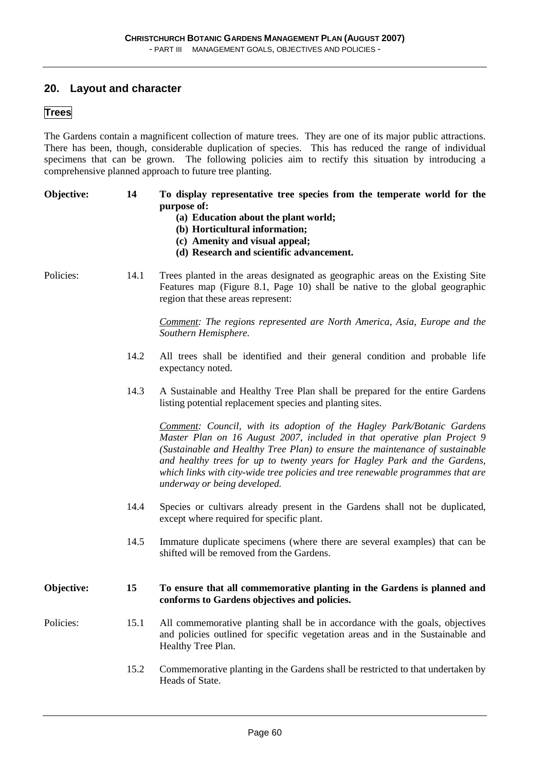#### **20. Layout and character**

#### **Trees**

The Gardens contain a magnificent collection of mature trees. They are one of its major public attractions. There has been, though, considerable duplication of species. This has reduced the range of individual specimens that can be grown. The following policies aim to rectify this situation by introducing a comprehensive planned approach to future tree planting.

| Objective: | 14   | To display representative tree species from the temperate world for the<br>purpose of:<br>(a) Education about the plant world;<br>(b) Horticultural information;<br>(c) Amenity and visual appeal;<br>(d) Research and scientific advancement.                                                                                                                                                                                     |
|------------|------|------------------------------------------------------------------------------------------------------------------------------------------------------------------------------------------------------------------------------------------------------------------------------------------------------------------------------------------------------------------------------------------------------------------------------------|
| Policies:  | 14.1 | Trees planted in the areas designated as geographic areas on the Existing Site<br>Features map (Figure 8.1, Page 10) shall be native to the global geographic<br>region that these areas represent:                                                                                                                                                                                                                                |
|            |      | <b>Comment:</b> The regions represented are North America, Asia, Europe and the<br>Southern Hemisphere.                                                                                                                                                                                                                                                                                                                            |
|            | 14.2 | All trees shall be identified and their general condition and probable life<br>expectancy noted.                                                                                                                                                                                                                                                                                                                                   |
|            | 14.3 | A Sustainable and Healthy Tree Plan shall be prepared for the entire Gardens<br>listing potential replacement species and planting sites.                                                                                                                                                                                                                                                                                          |
|            |      | Comment: Council, with its adoption of the Hagley Park/Botanic Gardens<br>Master Plan on 16 August 2007, included in that operative plan Project 9<br>(Sustainable and Healthy Tree Plan) to ensure the maintenance of sustainable<br>and healthy trees for up to twenty years for Hagley Park and the Gardens,<br>which links with city-wide tree policies and tree renewable programmes that are<br>underway or being developed. |
|            | 14.4 | Species or cultivars already present in the Gardens shall not be duplicated,<br>except where required for specific plant.                                                                                                                                                                                                                                                                                                          |
|            | 14.5 | Immature duplicate specimens (where there are several examples) that can be<br>shifted will be removed from the Gardens.                                                                                                                                                                                                                                                                                                           |
| Objective: | 15   | To ensure that all commemorative planting in the Gardens is planned and<br>conforms to Gardens objectives and policies.                                                                                                                                                                                                                                                                                                            |
| Policies:  | 15.1 | All commemorative planting shall be in accordance with the goals, objectives<br>and policies outlined for specific vegetation areas and in the Sustainable and<br>Healthy Tree Plan.                                                                                                                                                                                                                                               |

15.2 Commemorative planting in the Gardens shall be restricted to that undertaken by Heads of State.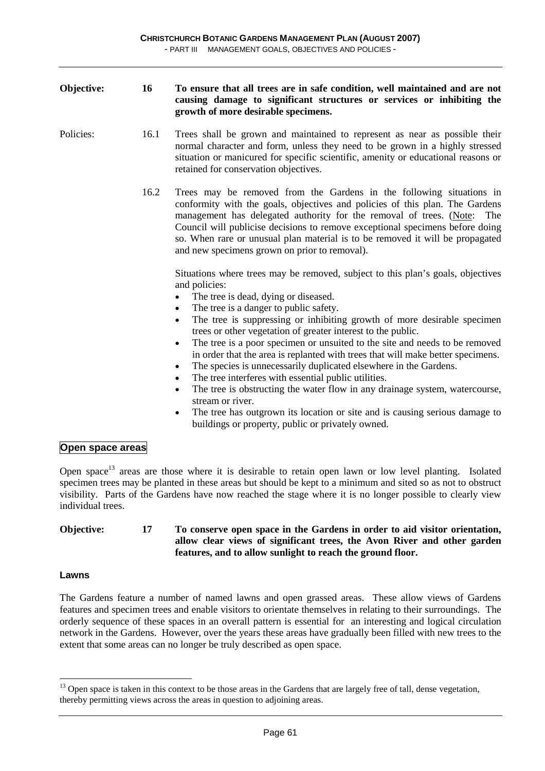| Objective: | 16   | To ensure that all trees are in safe condition, well maintained and are not<br>causing damage to significant structures or services or inhibiting the<br>growth of more desirable specimens.                                                                                                                                                                                                                                                                                                                                                                                                                                                                                                                                                                                                                                                                                                                                                           |
|------------|------|--------------------------------------------------------------------------------------------------------------------------------------------------------------------------------------------------------------------------------------------------------------------------------------------------------------------------------------------------------------------------------------------------------------------------------------------------------------------------------------------------------------------------------------------------------------------------------------------------------------------------------------------------------------------------------------------------------------------------------------------------------------------------------------------------------------------------------------------------------------------------------------------------------------------------------------------------------|
| Policies:  | 16.1 | Trees shall be grown and maintained to represent as near as possible their<br>normal character and form, unless they need to be grown in a highly stressed<br>situation or manicured for specific scientific, amenity or educational reasons or<br>retained for conservation objectives.                                                                                                                                                                                                                                                                                                                                                                                                                                                                                                                                                                                                                                                               |
|            | 16.2 | Trees may be removed from the Gardens in the following situations in<br>conformity with the goals, objectives and policies of this plan. The Gardens<br>management has delegated authority for the removal of trees. (Note: The<br>Council will publicise decisions to remove exceptional specimens before doing<br>so. When rare or unusual plan material is to be removed it will be propagated<br>and new specimens grown on prior to removal).                                                                                                                                                                                                                                                                                                                                                                                                                                                                                                     |
|            |      | Situations where trees may be removed, subject to this plan's goals, objectives<br>and policies:<br>The tree is dead, dying or diseased.<br>The tree is a danger to public safety.<br>$\bullet$<br>The tree is suppressing or inhibiting growth of more desirable specimen<br>$\bullet$<br>trees or other vegetation of greater interest to the public.<br>The tree is a poor specimen or unsuited to the site and needs to be removed<br>$\bullet$<br>in order that the area is replanted with trees that will make better specimens.<br>The species is unnecessarily duplicated elsewhere in the Gardens.<br>$\bullet$<br>The tree interferes with essential public utilities.<br>$\bullet$<br>The tree is obstructing the water flow in any drainage system, watercourse,<br>$\bullet$<br>stream or river.<br>The tree has outgrown its location or site and is causing serious damage to<br>٠<br>buildings or property, public or privately owned. |

### **Open space areas**

Open space<sup>13</sup> areas are those where it is desirable to retain open lawn or low level planting. Isolated specimen trees may be planted in these areas but should be kept to a minimum and sited so as not to obstruct visibility. Parts of the Gardens have now reached the stage where it is no longer possible to clearly view individual trees.

#### **Objective: 17 To conserve open space in the Gardens in order to aid visitor orientation, allow clear views of significant trees, the Avon River and other garden features, and to allow sunlight to reach the ground floor.**

#### **Lawns**

 $\overline{a}$ 

The Gardens feature a number of named lawns and open grassed areas. These allow views of Gardens features and specimen trees and enable visitors to orientate themselves in relating to their surroundings. The orderly sequence of these spaces in an overall pattern is essential for an interesting and logical circulation network in the Gardens. However, over the years these areas have gradually been filled with new trees to the extent that some areas can no longer be truly described as open space.

 $13$  Open space is taken in this context to be those areas in the Gardens that are largely free of tall, dense vegetation, thereby permitting views across the areas in question to adjoining areas.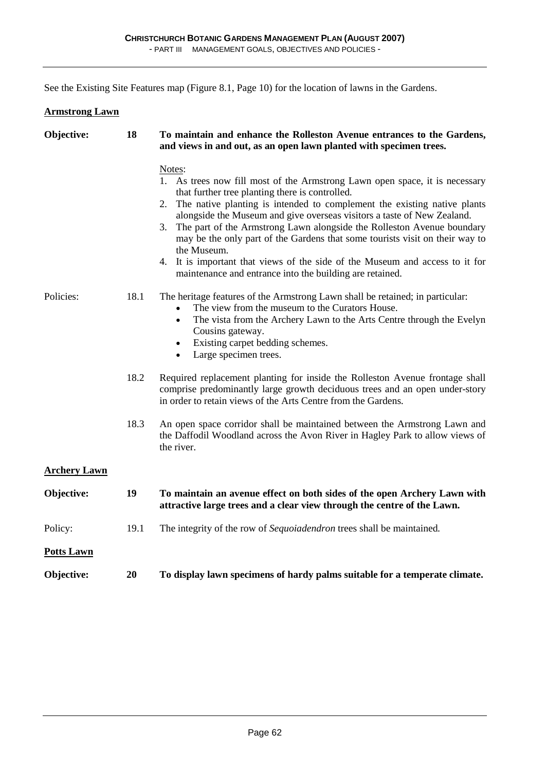See the Existing Site Features map (Figure 8.1, Page 10) for the location of lawns in the Gardens.

| <b>Armstrong Lawn</b> |      |                                                                                                                                                                                                                                                                                                                                                                                                                                                                                                                                                                                                                                     |
|-----------------------|------|-------------------------------------------------------------------------------------------------------------------------------------------------------------------------------------------------------------------------------------------------------------------------------------------------------------------------------------------------------------------------------------------------------------------------------------------------------------------------------------------------------------------------------------------------------------------------------------------------------------------------------------|
| Objective:            | 18   | To maintain and enhance the Rolleston Avenue entrances to the Gardens,<br>and views in and out, as an open lawn planted with specimen trees.                                                                                                                                                                                                                                                                                                                                                                                                                                                                                        |
|                       |      | Notes:<br>1. As trees now fill most of the Armstrong Lawn open space, it is necessary<br>that further tree planting there is controlled.<br>The native planting is intended to complement the existing native plants<br>2.<br>alongside the Museum and give overseas visitors a taste of New Zealand.<br>The part of the Armstrong Lawn alongside the Rolleston Avenue boundary<br>3.<br>may be the only part of the Gardens that some tourists visit on their way to<br>the Museum.<br>4.<br>It is important that views of the side of the Museum and access to it for<br>maintenance and entrance into the building are retained. |
| Policies:             | 18.1 | The heritage features of the Armstrong Lawn shall be retained; in particular:<br>The view from the museum to the Curators House.<br>The vista from the Archery Lawn to the Arts Centre through the Evelyn<br>$\bullet$<br>Cousins gateway.<br>Existing carpet bedding schemes.<br>$\bullet$<br>Large specimen trees.<br>٠                                                                                                                                                                                                                                                                                                           |
|                       | 18.2 | Required replacement planting for inside the Rolleston Avenue frontage shall<br>comprise predominantly large growth deciduous trees and an open under-story<br>in order to retain views of the Arts Centre from the Gardens.                                                                                                                                                                                                                                                                                                                                                                                                        |
|                       | 18.3 | An open space corridor shall be maintained between the Armstrong Lawn and<br>the Daffodil Woodland across the Avon River in Hagley Park to allow views of<br>the river.                                                                                                                                                                                                                                                                                                                                                                                                                                                             |
| <b>Archery Lawn</b>   |      |                                                                                                                                                                                                                                                                                                                                                                                                                                                                                                                                                                                                                                     |
| Objective:            | 19   | To maintain an avenue effect on both sides of the open Archery Lawn with<br>attractive large trees and a clear view through the centre of the Lawn.                                                                                                                                                                                                                                                                                                                                                                                                                                                                                 |
| Policy:               | 19.1 | The integrity of the row of Sequoiadendron trees shall be maintained.                                                                                                                                                                                                                                                                                                                                                                                                                                                                                                                                                               |
| <b>Potts Lawn</b>     |      |                                                                                                                                                                                                                                                                                                                                                                                                                                                                                                                                                                                                                                     |
| Objective:            | 20   | To display lawn specimens of hardy palms suitable for a temperate climate.                                                                                                                                                                                                                                                                                                                                                                                                                                                                                                                                                          |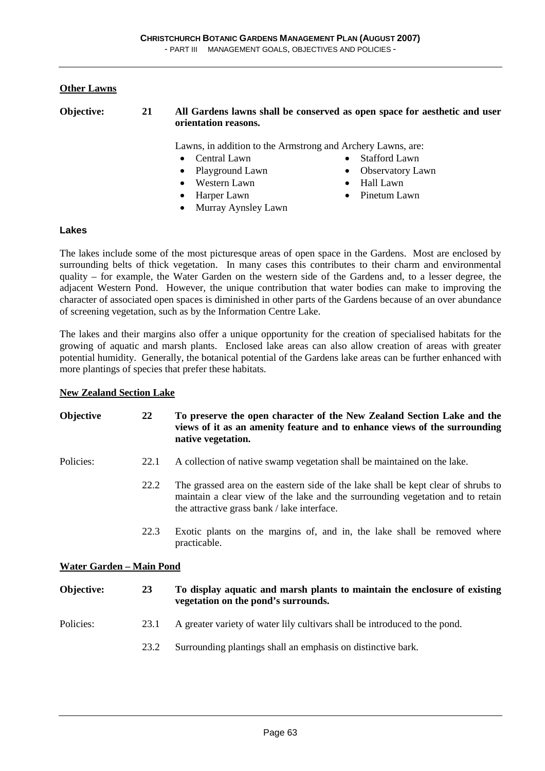#### **Other Lawns**

**Objective: 21 All Gardens lawns shall be conserved as open space for aesthetic and user orientation reasons.** 

Lawns, in addition to the Armstrong and Archery Lawns, are:

• Stafford Lawn • Observatory Lawn • Hall Lawn • Pinetum Lawn

- Central Lawn
- Playground Lawn
- Western Lawn
- Harper Lawn
- Murray Aynsley Lawn

#### **Lakes**

The lakes include some of the most picturesque areas of open space in the Gardens. Most are enclosed by surrounding belts of thick vegetation. In many cases this contributes to their charm and environmental quality – for example, the Water Garden on the western side of the Gardens and, to a lesser degree, the adjacent Western Pond. However, the unique contribution that water bodies can make to improving the character of associated open spaces is diminished in other parts of the Gardens because of an over abundance of screening vegetation, such as by the Information Centre Lake.

The lakes and their margins also offer a unique opportunity for the creation of specialised habitats for the growing of aquatic and marsh plants. Enclosed lake areas can also allow creation of areas with greater potential humidity. Generally, the botanical potential of the Gardens lake areas can be further enhanced with more plantings of species that prefer these habitats.

#### **New Zealand Section Lake**

| Objective                | 22   | To preserve the open character of the New Zealand Section Lake and the<br>views of it as an amenity feature and to enhance views of the surrounding<br>native vegetation.                                          |
|--------------------------|------|--------------------------------------------------------------------------------------------------------------------------------------------------------------------------------------------------------------------|
| Policies:                | 22.1 | A collection of native swamp vegetation shall be maintained on the lake.                                                                                                                                           |
|                          | 22.2 | The grassed area on the eastern side of the lake shall be kept clear of shrubs to<br>maintain a clear view of the lake and the surrounding vegetation and to retain<br>the attractive grass bank / lake interface. |
|                          | 22.3 | Exotic plants on the margins of, and in, the lake shall be removed where<br>practicable.                                                                                                                           |
| Water Garden - Main Pond |      |                                                                                                                                                                                                                    |
| Objective:               | 23   | To display aquatic and marsh plants to maintain the enclosure of existing<br>vegetation on the pond's surrounds.                                                                                                   |
| Policies:                | 23.1 | A greater variety of water lily cultivars shall be introduced to the pond.                                                                                                                                         |
|                          | 23.2 | Surrounding plantings shall an emphasis on distinctive bark.                                                                                                                                                       |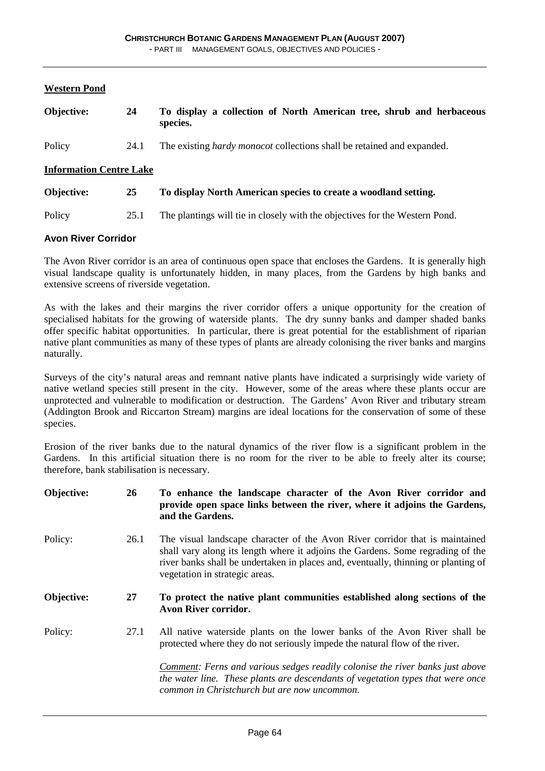#### **Western Pond**

| Objective:                     | 24   | To display a collection of North American tree, shrub and herbaceous<br>species. |  |  |
|--------------------------------|------|----------------------------------------------------------------------------------|--|--|
| Policy                         | 24.1 | The existing <i>hardy monocot</i> collections shall be retained and expanded.    |  |  |
| <b>Information Centre Lake</b> |      |                                                                                  |  |  |
| Objective:                     | 25   | To display North American species to create a woodland setting.                  |  |  |
| Policy                         | 25.1 | The plantings will tie in closely with the objectives for the Western Pond.      |  |  |
| <b>Avon River Corridor</b>     |      |                                                                                  |  |  |

The Avon River corridor is an area of continuous open space that encloses the Gardens. It is generally high visual landscape quality is unfortunately hidden, in many places, from the Gardens by high banks and extensive screens of riverside vegetation.

As with the lakes and their margins the river corridor offers a unique opportunity for the creation of specialised habitats for the growing of waterside plants. The dry sunny banks and damper shaded banks offer specific habitat opportunities. In particular, there is great potential for the establishment of riparian native plant communities as many of these types of plants are already colonising the river banks and margins naturally.

Surveys of the city's natural areas and remnant native plants have indicated a surprisingly wide variety of native wetland species still present in the city. However, some of the areas where these plants occur are unprotected and vulnerable to modification or destruction. The Gardens' Avon River and tributary stream (Addington Brook and Riccarton Stream) margins are ideal locations for the conservation of some of these species.

Erosion of the river banks due to the natural dynamics of the river flow is a significant problem in the Gardens. In this artificial situation there is no room for the river to be able to freely alter its course; therefore, bank stabilisation is necessary.

| Objective: | 26   | To enhance the landscape character of the Avon River corridor and<br>provide open space links between the river, where it adjoins the Gardens,<br>and the Gardens.                                                                                                                      |
|------------|------|-----------------------------------------------------------------------------------------------------------------------------------------------------------------------------------------------------------------------------------------------------------------------------------------|
| Policy:    | 26.1 | The visual landscape character of the Avon River corridor that is maintained<br>shall vary along its length where it adjoins the Gardens. Some regrading of the<br>river banks shall be undertaken in places and, eventually, thinning or planting of<br>vegetation in strategic areas. |
| Objective: | 27   | To protect the native plant communities established along sections of the<br>Avon River corridor.                                                                                                                                                                                       |
| Policy:    | 27.1 | All native waterside plants on the lower banks of the Avon River shall be<br>protected where they do not seriously impede the natural flow of the river.                                                                                                                                |
|            |      | <b>Comment:</b> Ferns and various sedges readily colonise the river banks just above<br>the water line. These plants are descendants of vegetation types that were once<br>common in Christchurch but are now uncommon.                                                                 |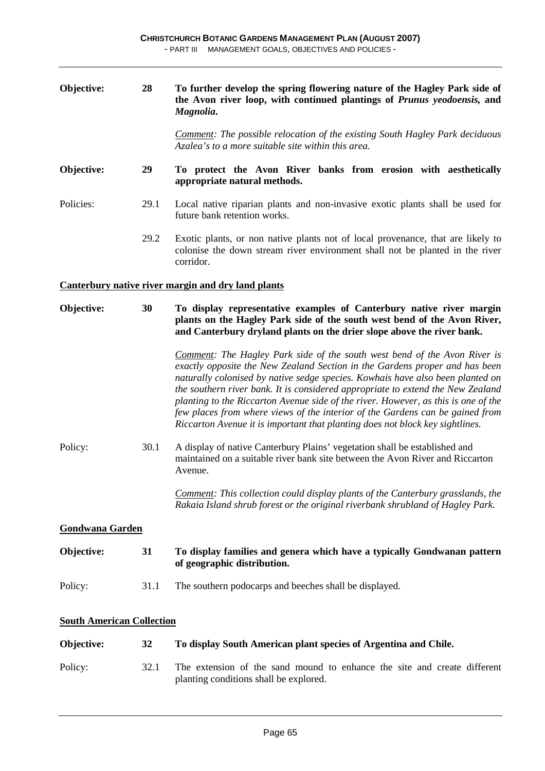| Objective:                       | 28   | To further develop the spring flowering nature of the Hagley Park side of<br>the Avon river loop, with continued plantings of Prunus yeodoensis, and<br>Magnolia.                                                                                                                                                                                                                                                                                                                                                                                                                     |
|----------------------------------|------|---------------------------------------------------------------------------------------------------------------------------------------------------------------------------------------------------------------------------------------------------------------------------------------------------------------------------------------------------------------------------------------------------------------------------------------------------------------------------------------------------------------------------------------------------------------------------------------|
|                                  |      | <b>Comment:</b> The possible relocation of the existing South Hagley Park deciduous<br>Azalea's to a more suitable site within this area.                                                                                                                                                                                                                                                                                                                                                                                                                                             |
| Objective:                       | 29   | To protect the Avon River banks from erosion with aesthetically<br>appropriate natural methods.                                                                                                                                                                                                                                                                                                                                                                                                                                                                                       |
| Policies:                        | 29.1 | Local native riparian plants and non-invasive exotic plants shall be used for<br>future bank retention works.                                                                                                                                                                                                                                                                                                                                                                                                                                                                         |
|                                  | 29.2 | Exotic plants, or non native plants not of local provenance, that are likely to<br>colonise the down stream river environment shall not be planted in the river<br>corridor.                                                                                                                                                                                                                                                                                                                                                                                                          |
|                                  |      | <b>Canterbury native river margin and dry land plants</b>                                                                                                                                                                                                                                                                                                                                                                                                                                                                                                                             |
| Objective:                       | 30   | To display representative examples of Canterbury native river margin<br>plants on the Hagley Park side of the south west bend of the Avon River,<br>and Canterbury dryland plants on the drier slope above the river bank.                                                                                                                                                                                                                                                                                                                                                            |
|                                  |      | Comment: The Hagley Park side of the south west bend of the Avon River is<br>exactly opposite the New Zealand Section in the Gardens proper and has been<br>naturally colonised by native sedge species. Kowhais have also been planted on<br>the southern river bank. It is considered appropriate to extend the New Zealand<br>planting to the Riccarton Avenue side of the river. However, as this is one of the<br>few places from where views of the interior of the Gardens can be gained from<br>Riccarton Avenue it is important that planting does not block key sightlines. |
| Policy:                          | 30.1 | A display of native Canterbury Plains' vegetation shall be established and<br>maintained on a suitable river bank site between the Avon River and Riccarton<br>Avenue.                                                                                                                                                                                                                                                                                                                                                                                                                |
|                                  |      | Comment: This collection could display plants of the Canterbury grasslands, the<br>Rakaia Island shrub forest or the original riverbank shrubland of Hagley Park.                                                                                                                                                                                                                                                                                                                                                                                                                     |
| <b>Gondwana Garden</b>           |      |                                                                                                                                                                                                                                                                                                                                                                                                                                                                                                                                                                                       |
| Objective:                       | 31   | To display families and genera which have a typically Gondwanan pattern<br>of geographic distribution.                                                                                                                                                                                                                                                                                                                                                                                                                                                                                |
| Policy:                          | 31.1 | The southern podocarps and beeches shall be displayed.                                                                                                                                                                                                                                                                                                                                                                                                                                                                                                                                |
| <b>South American Collection</b> |      |                                                                                                                                                                                                                                                                                                                                                                                                                                                                                                                                                                                       |
| Objective:                       | 32   | To display South American plant species of Argentina and Chile.                                                                                                                                                                                                                                                                                                                                                                                                                                                                                                                       |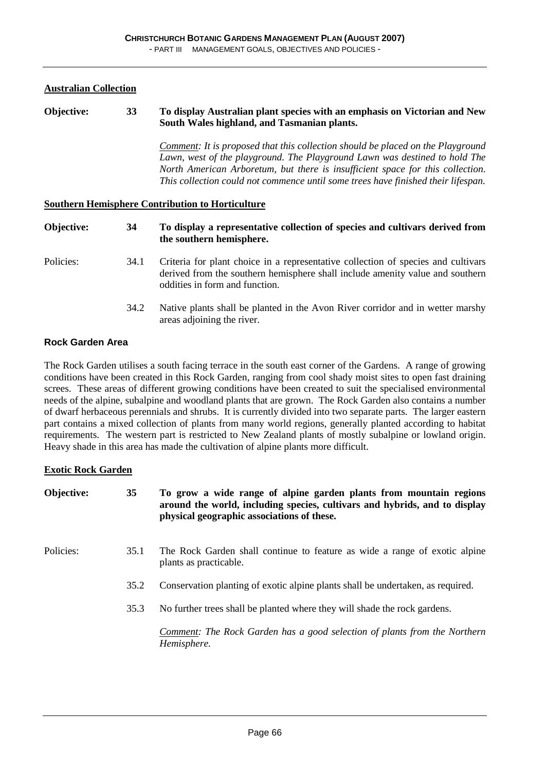#### **Australian Collection**

#### **Objective: 33 To display Australian plant species with an emphasis on Victorian and New South Wales highland, and Tasmanian plants.**

*Comment: It is proposed that this collection should be placed on the Playground Lawn, west of the playground. The Playground Lawn was destined to hold The North American Arboretum, but there is insufficient space for this collection. This collection could not commence until some trees have finished their lifespan.* 

#### **Southern Hemisphere Contribution to Horticulture**

| Objective: | 34   | To display a representative collection of species and cultivars derived from<br>the southern hemisphere.                                                                                             |
|------------|------|------------------------------------------------------------------------------------------------------------------------------------------------------------------------------------------------------|
| Policies:  | 34.1 | Criteria for plant choice in a representative collection of species and cultivars<br>derived from the southern hemisphere shall include amenity value and southern<br>oddities in form and function. |
|            | 34.2 | Native plants shall be planted in the Avon River corridor and in wetter marshy<br>areas adjoining the river.                                                                                         |

#### **Rock Garden Area**

The Rock Garden utilises a south facing terrace in the south east corner of the Gardens. A range of growing conditions have been created in this Rock Garden, ranging from cool shady moist sites to open fast draining screes. These areas of different growing conditions have been created to suit the specialised environmental needs of the alpine, subalpine and woodland plants that are grown. The Rock Garden also contains a number of dwarf herbaceous perennials and shrubs. It is currently divided into two separate parts. The larger eastern part contains a mixed collection of plants from many world regions, generally planted according to habitat requirements. The western part is restricted to New Zealand plants of mostly subalpine or lowland origin. Heavy shade in this area has made the cultivation of alpine plants more difficult.

#### **Exotic Rock Garden**

| Objective: | 35   | To grow a wide range of alpine garden plants from mountain regions<br>around the world, including species, cultivars and hybrids, and to display<br>physical geographic associations of these. |
|------------|------|------------------------------------------------------------------------------------------------------------------------------------------------------------------------------------------------|
| Policies:  | 35.1 | The Rock Garden shall continue to feature as wide a range of exotic alpine<br>plants as practicable.                                                                                           |
|            | 35.2 | Conservation planting of exotic alpine plants shall be undertaken, as required.                                                                                                                |
|            | 35.3 | No further trees shall be planted where they will shade the rock gardens.                                                                                                                      |
|            |      | <b>Comment:</b> The Rock Garden has a good selection of plants from the Northern<br>Hemisphere.                                                                                                |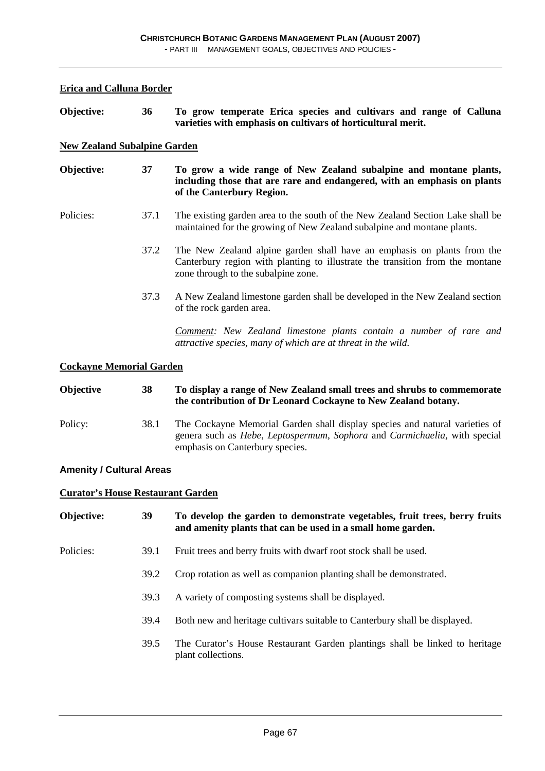#### **Erica and Calluna Border**

**Objective: 36 To grow temperate Erica species and cultivars and range of Calluna varieties with emphasis on cultivars of horticultural merit.** 

#### **New Zealand Subalpine Garden**

**Objective: 37 To grow a wide range of New Zealand subalpine and montane plants, including those that are rare and endangered, with an emphasis on plants of the Canterbury Region.** 

- Policies: 37.1 The existing garden area to the south of the New Zealand Section Lake shall be maintained for the growing of New Zealand subalpine and montane plants.
	- 37.2 The New Zealand alpine garden shall have an emphasis on plants from the Canterbury region with planting to illustrate the transition from the montane zone through to the subalpine zone.
	- 37.3 A New Zealand limestone garden shall be developed in the New Zealand section of the rock garden area.

 *Comment: New Zealand limestone plants contain a number of rare and attractive species, many of which are at threat in the wild.*

#### **Cockayne Memorial Garden**

| <b>Objective</b> | 38   | To display a range of New Zealand small trees and shrubs to commemorate<br>the contribution of Dr Leonard Cockayne to New Zealand botany.                                                                                  |
|------------------|------|----------------------------------------------------------------------------------------------------------------------------------------------------------------------------------------------------------------------------|
| Policy:          | 38.1 | The Cockayne Memorial Garden shall display species and natural varieties of<br>genera such as <i>Hebe</i> , <i>Leptospermum</i> , <i>Sophora</i> and <i>Carmichaelia</i> , with special<br>emphasis on Canterbury species. |

#### **Amenity / Cultural Areas**

#### **Curator's House Restaurant Garden**

| Objective: | 39   | To develop the garden to demonstrate vegetables, fruit trees, berry fruits<br>and amenity plants that can be used in a small home garden. |
|------------|------|-------------------------------------------------------------------------------------------------------------------------------------------|
| Policies:  | 39.1 | Fruit trees and berry fruits with dwarf root stock shall be used.                                                                         |
|            | 39.2 | Crop rotation as well as companion planting shall be demonstrated.                                                                        |
|            | 39.3 | A variety of composting systems shall be displayed.                                                                                       |
|            | 39.4 | Both new and heritage cultivars suitable to Canterbury shall be displayed.                                                                |
|            | 39.5 | The Curator's House Restaurant Garden plantings shall be linked to heritage<br>plant collections.                                         |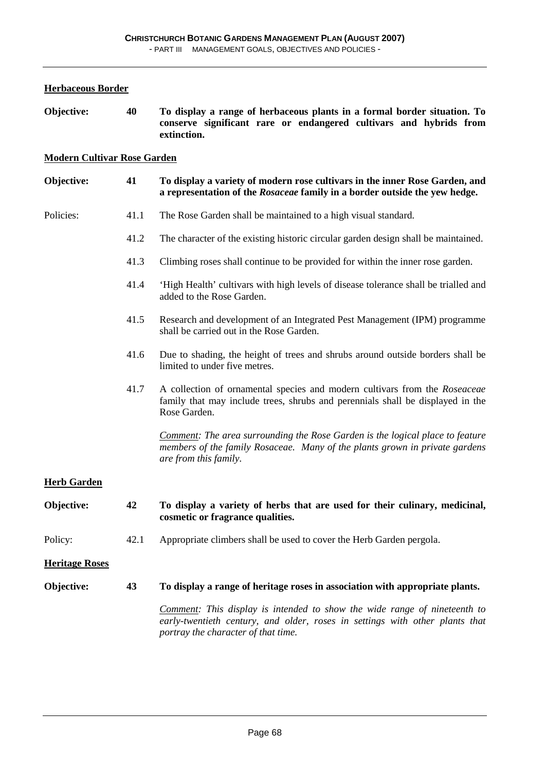**Herbaceous Border**

| Objective:                         | 40   | To display a range of herbaceous plants in a formal border situation. To<br>conserve significant rare or endangered cultivars and hybrids from<br>extinction.                                           |
|------------------------------------|------|---------------------------------------------------------------------------------------------------------------------------------------------------------------------------------------------------------|
| <b>Modern Cultivar Rose Garden</b> |      |                                                                                                                                                                                                         |
| Objective:                         | 41   | To display a variety of modern rose cultivars in the inner Rose Garden, and<br>a representation of the Rosaceae family in a border outside the yew hedge.                                               |
| Policies:                          | 41.1 | The Rose Garden shall be maintained to a high visual standard.                                                                                                                                          |
|                                    | 41.2 | The character of the existing historic circular garden design shall be maintained.                                                                                                                      |
|                                    | 41.3 | Climbing roses shall continue to be provided for within the inner rose garden.                                                                                                                          |
|                                    | 41.4 | 'High Health' cultivars with high levels of disease tolerance shall be trialled and<br>added to the Rose Garden.                                                                                        |
|                                    | 41.5 | Research and development of an Integrated Pest Management (IPM) programme<br>shall be carried out in the Rose Garden.                                                                                   |
|                                    | 41.6 | Due to shading, the height of trees and shrubs around outside borders shall be<br>limited to under five metres.                                                                                         |
|                                    | 41.7 | A collection of ornamental species and modern cultivars from the Roseaceae<br>family that may include trees, shrubs and perennials shall be displayed in the<br>Rose Garden.                            |
|                                    |      | Comment: The area surrounding the Rose Garden is the logical place to feature<br>members of the family Rosaceae. Many of the plants grown in private gardens<br>are from this family.                   |
| <b>Herb Garden</b>                 |      |                                                                                                                                                                                                         |
| Objective:                         | 42   | To display a variety of herbs that are used for their culinary, medicinal,<br>cosmetic or fragrance qualities.                                                                                          |
| Policy:                            | 42.1 | Appropriate climbers shall be used to cover the Herb Garden pergola.                                                                                                                                    |
| <b>Heritage Roses</b>              |      |                                                                                                                                                                                                         |
| Objective:                         | 43   | To display a range of heritage roses in association with appropriate plants.                                                                                                                            |
|                                    |      | <b>Comment:</b> This display is intended to show the wide range of nineteenth to<br>early-twentieth century, and older, roses in settings with other plants that<br>portray the character of that time. |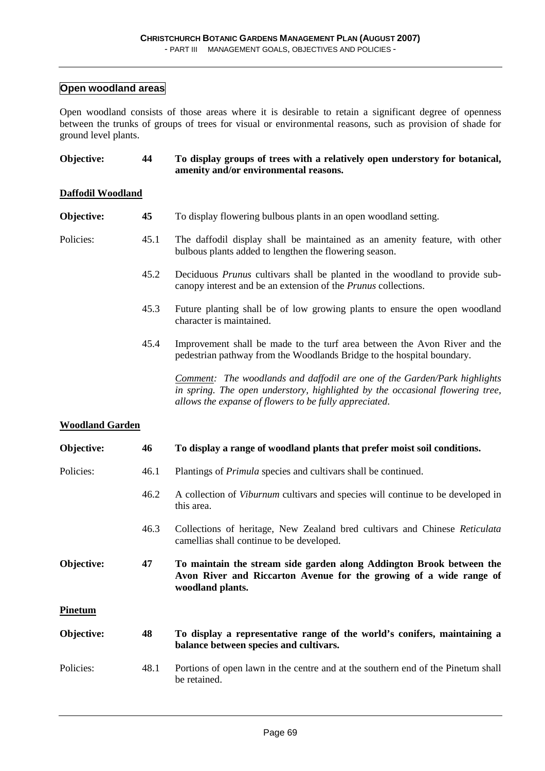### **Open woodland areas**

Open woodland consists of those areas where it is desirable to retain a significant degree of openness between the trunks of groups of trees for visual or environmental reasons, such as provision of shade for ground level plants.

| Objective:               | 44   | To display groups of trees with a relatively open understory for botanical,<br>amenity and/or environmental reasons.                                                                                                        |
|--------------------------|------|-----------------------------------------------------------------------------------------------------------------------------------------------------------------------------------------------------------------------------|
| <b>Daffodil Woodland</b> |      |                                                                                                                                                                                                                             |
| Objective:               | 45   | To display flowering bulbous plants in an open woodland setting.                                                                                                                                                            |
| Policies:                | 45.1 | The daffodil display shall be maintained as an amenity feature, with other<br>bulbous plants added to lengthen the flowering season.                                                                                        |
|                          | 45.2 | Deciduous <i>Prunus</i> cultivars shall be planted in the woodland to provide sub-<br>canopy interest and be an extension of the <i>Prunus</i> collections.                                                                 |
|                          | 45.3 | Future planting shall be of low growing plants to ensure the open woodland<br>character is maintained.                                                                                                                      |
|                          | 45.4 | Improvement shall be made to the turf area between the Avon River and the<br>pedestrian pathway from the Woodlands Bridge to the hospital boundary.                                                                         |
|                          |      | <b>Comment:</b> The woodlands and daffodil are one of the Garden/Park highlights<br>in spring. The open understory, highlighted by the occasional flowering tree,<br>allows the expanse of flowers to be fully appreciated. |
| <b>Woodland Garden</b>   |      |                                                                                                                                                                                                                             |
| Objective:               | 46   | To display a range of woodland plants that prefer moist soil conditions.                                                                                                                                                    |
| Policies:                | 46.1 | Plantings of <i>Primula</i> species and cultivars shall be continued.                                                                                                                                                       |
|                          | 46.2 | A collection of Viburnum cultivars and species will continue to be developed in<br>this area.                                                                                                                               |
|                          | 46.3 | Collections of heritage, New Zealand bred cultivars and Chinese Reticulata<br>camellias shall continue to be developed.                                                                                                     |
| Objective:               | 47   | To maintain the stream side garden along Addington Brook between the<br>Avon River and Riccarton Avenue for the growing of a wide range of<br>woodland plants.                                                              |
| <b>Pinetum</b>           |      |                                                                                                                                                                                                                             |
| Objective:               | 48   | To display a representative range of the world's conifers, maintaining a<br>balance between species and cultivars.                                                                                                          |
| Policies:                | 48.1 | Portions of open lawn in the centre and at the southern end of the Pinetum shall<br>be retained.                                                                                                                            |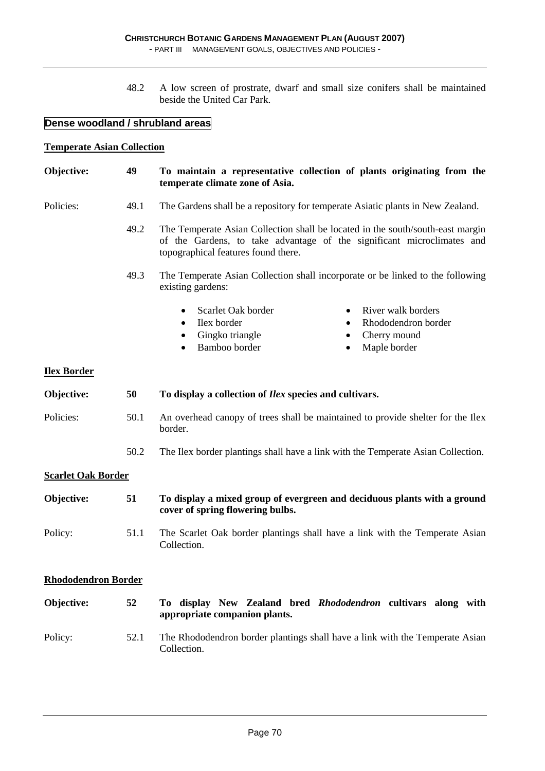- PART III MANAGEMENT GOALS, OBJECTIVES AND POLICIES -

 48.2 A low screen of prostrate, dwarf and small size conifers shall be maintained beside the United Car Park.

#### **Dense woodland / shrubland areas**

#### **Temperate Asian Collection**

#### **Objective: 49 To maintain a representative collection of plants originating from the temperate climate zone of Asia.**

- Policies: 49.1 The Gardens shall be a repository for temperate Asiatic plants in New Zealand.
	- 49.2 The Temperate Asian Collection shall be located in the south/south-east margin of the Gardens, to take advantage of the significant microclimates and topographical features found there.
	- 49.3 The Temperate Asian Collection shall incorporate or be linked to the following existing gardens:
		- Scarlet Oak border River walk borders
		-
		- Gingko triangle Cherry mound
		- Bamboo border Maple border
- - Ilex border Rhododendron border
		-
		-

#### **Ilex Border**

| Objective:                | 50   | To display a collection of <i>Ilex</i> species and cultivars.                                                |
|---------------------------|------|--------------------------------------------------------------------------------------------------------------|
| Policies:                 | 50.1 | An overhead canopy of trees shall be maintained to provide shelter for the Ilex<br>border.                   |
|                           | 50.2 | The Ilex border plantings shall have a link with the Temperate Asian Collection.                             |
| <b>Scarlet Oak Border</b> |      |                                                                                                              |
| Objective:                | 51   | To display a mixed group of evergreen and deciduous plants with a ground<br>cover of spring flowering bulbs. |
| Policy:                   | 51.1 | The Scarlet Oak border plantings shall have a link with the Temperate Asian<br>Collection.                   |

#### **Rhododendron Border**

| Objective: | 52   | To display New Zealand bred Rhododendron cultivars along with<br>appropriate companion plants. |
|------------|------|------------------------------------------------------------------------------------------------|
| Policy:    | 52.1 | The Rhododendron border plantings shall have a link with the Temperate Asian<br>Collection.    |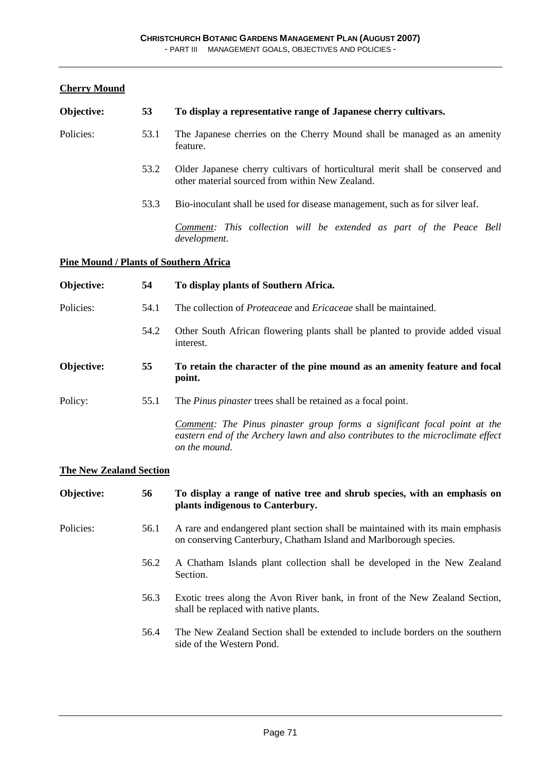### **Cherry Mound**

| Objective: | 53                                            | To display a representative range of Japanese cherry cultivars.                                                                                                              |  |  |
|------------|-----------------------------------------------|------------------------------------------------------------------------------------------------------------------------------------------------------------------------------|--|--|
| Policies:  | 53.1                                          | The Japanese cherries on the Cherry Mound shall be managed as an amenity<br>feature.                                                                                         |  |  |
|            | 53.2                                          | Older Japanese cherry cultivars of horticultural merit shall be conserved and<br>other material sourced from within New Zealand.                                             |  |  |
|            | 53.3                                          | Bio-inoculant shall be used for disease management, such as for silver leaf.                                                                                                 |  |  |
|            |                                               | Comment: This collection will be extended as part of the Peace Bell<br>development.                                                                                          |  |  |
|            | <b>Pine Mound / Plants of Southern Africa</b> |                                                                                                                                                                              |  |  |
| Objective: | 54                                            | To display plants of Southern Africa.                                                                                                                                        |  |  |
| Policies:  | 54.1                                          | The collection of <i>Proteaceae</i> and <i>Ericaceae</i> shall be maintained.                                                                                                |  |  |
|            | 54.2                                          | Other South African flowering plants shall be planted to provide added visual<br>interest.                                                                                   |  |  |
| Objective: | 55                                            | To retain the character of the pine mound as an amenity feature and focal<br>point.                                                                                          |  |  |
| Policy:    | 55.1                                          | The <i>Pinus pinaster</i> trees shall be retained as a focal point.                                                                                                          |  |  |
|            |                                               | Comment: The Pinus pinaster group forms a significant focal point at the<br>eastern end of the Archery lawn and also contributes to the microclimate effect<br>on the mound. |  |  |

### **The New Zealand Section**

| Objective: | 56   | To display a range of native tree and shrub species, with an emphasis on<br>plants indigenous to Canterbury.                                        |
|------------|------|-----------------------------------------------------------------------------------------------------------------------------------------------------|
| Policies:  | 56.1 | A rare and endangered plant section shall be maintained with its main emphasis<br>on conserving Canterbury, Chatham Island and Marlborough species. |
|            | 56.2 | A Chatham Islands plant collection shall be developed in the New Zealand<br>Section.                                                                |
|            | 56.3 | Exotic trees along the Avon River bank, in front of the New Zealand Section,<br>shall be replaced with native plants.                               |
|            | 56.4 | The New Zealand Section shall be extended to include borders on the southern<br>side of the Western Pond.                                           |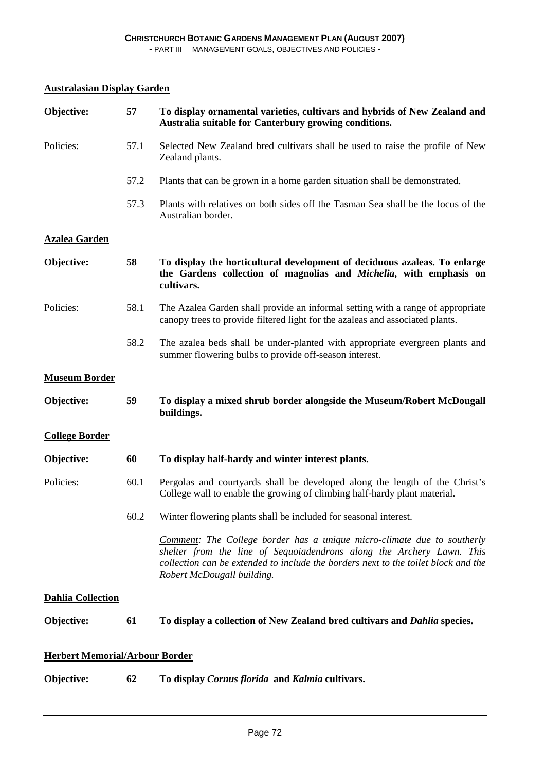#### **Australasian Display Garden**

| Objective:                            | 57   | To display ornamental varieties, cultivars and hybrids of New Zealand and<br>Australia suitable for Canterbury growing conditions.                                                                                                                                          |
|---------------------------------------|------|-----------------------------------------------------------------------------------------------------------------------------------------------------------------------------------------------------------------------------------------------------------------------------|
| Policies:                             | 57.1 | Selected New Zealand bred cultivars shall be used to raise the profile of New<br>Zealand plants.                                                                                                                                                                            |
|                                       | 57.2 | Plants that can be grown in a home garden situation shall be demonstrated.                                                                                                                                                                                                  |
|                                       | 57.3 | Plants with relatives on both sides off the Tasman Sea shall be the focus of the<br>Australian border.                                                                                                                                                                      |
| <b>Azalea Garden</b>                  |      |                                                                                                                                                                                                                                                                             |
| Objective:                            | 58   | To display the horticultural development of deciduous azaleas. To enlarge<br>the Gardens collection of magnolias and Michelia, with emphasis on<br>cultivars.                                                                                                               |
| Policies:                             | 58.1 | The Azalea Garden shall provide an informal setting with a range of appropriate<br>canopy trees to provide filtered light for the azaleas and associated plants.                                                                                                            |
|                                       | 58.2 | The azalea beds shall be under-planted with appropriate evergreen plants and<br>summer flowering bulbs to provide off-season interest.                                                                                                                                      |
| <b>Museum Border</b>                  |      |                                                                                                                                                                                                                                                                             |
| Objective:                            | 59   | To display a mixed shrub border alongside the Museum/Robert McDougall<br>buildings.                                                                                                                                                                                         |
| <b>College Border</b>                 |      |                                                                                                                                                                                                                                                                             |
| Objective:                            | 60   | To display half-hardy and winter interest plants.                                                                                                                                                                                                                           |
| Policies:                             | 60.1 | Pergolas and courtyards shall be developed along the length of the Christ's<br>College wall to enable the growing of climbing half-hardy plant material.                                                                                                                    |
|                                       | 60.2 | Winter flowering plants shall be included for seasonal interest.                                                                                                                                                                                                            |
|                                       |      | <b>Comment:</b> The College border has a unique micro-climate due to southerly<br>shelter from the line of Sequoiadendrons along the Archery Lawn. This<br>collection can be extended to include the borders next to the toilet block and the<br>Robert McDougall building. |
| <b>Dahlia Collection</b>              |      |                                                                                                                                                                                                                                                                             |
| Objective:                            | 61   | To display a collection of New Zealand bred cultivars and <i>Dahlia</i> species.                                                                                                                                                                                            |
| <b>Herbert Memorial/Arbour Border</b> |      |                                                                                                                                                                                                                                                                             |
| Objective:                            | 62   | To display Cornus florida and Kalmia cultivars.                                                                                                                                                                                                                             |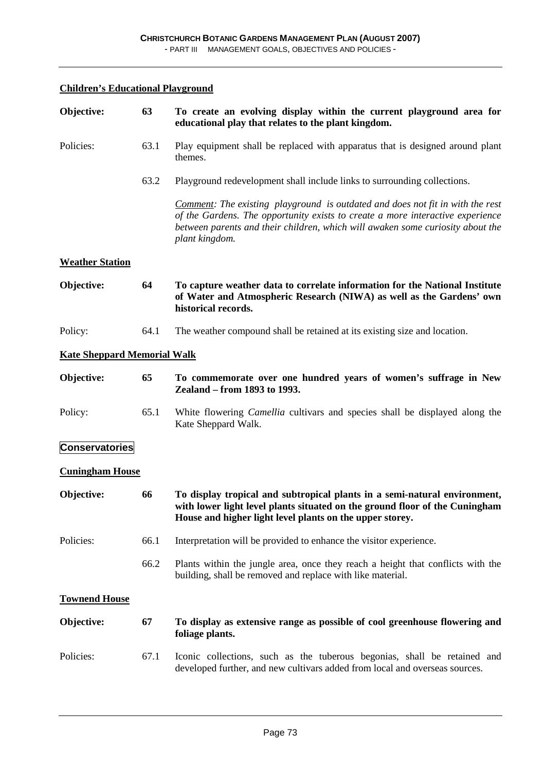### **Children's Educational Playground**

| Objective:                         | 63   | To create an evolving display within the current playground area for<br>educational play that relates to the plant kingdom.                                                                                                                                                 |
|------------------------------------|------|-----------------------------------------------------------------------------------------------------------------------------------------------------------------------------------------------------------------------------------------------------------------------------|
| Policies:                          | 63.1 | Play equipment shall be replaced with apparatus that is designed around plant<br>themes.                                                                                                                                                                                    |
|                                    | 63.2 | Playground redevelopment shall include links to surrounding collections.                                                                                                                                                                                                    |
|                                    |      | <b>Comment:</b> The existing playground is outdated and does not fit in with the rest<br>of the Gardens. The opportunity exists to create a more interactive experience<br>between parents and their children, which will awaken some curiosity about the<br>plant kingdom. |
| <b>Weather Station</b>             |      |                                                                                                                                                                                                                                                                             |
| Objective:                         | 64   | To capture weather data to correlate information for the National Institute<br>of Water and Atmospheric Research (NIWA) as well as the Gardens' own<br>historical records.                                                                                                  |
| Policy:                            | 64.1 | The weather compound shall be retained at its existing size and location.                                                                                                                                                                                                   |
| <b>Kate Sheppard Memorial Walk</b> |      |                                                                                                                                                                                                                                                                             |
| Objective:                         | 65   | To commemorate over one hundred years of women's suffrage in New<br>Zealand – from 1893 to 1993.                                                                                                                                                                            |
| Policy:                            | 65.1 | White flowering <i>Camellia</i> cultivars and species shall be displayed along the<br>Kate Sheppard Walk.                                                                                                                                                                   |
| <b>Conservatories</b>              |      |                                                                                                                                                                                                                                                                             |
| <b>Cuningham House</b>             |      |                                                                                                                                                                                                                                                                             |
| Objective:                         | 66   | To display tropical and subtropical plants in a semi-natural environment,<br>with lower light level plants situated on the ground floor of the Cuningham<br>House and higher light level plants on the upper storey.                                                        |
| Policies:                          | 66.1 | Interpretation will be provided to enhance the visitor experience.                                                                                                                                                                                                          |
|                                    | 66.2 | Plants within the jungle area, once they reach a height that conflicts with the<br>building, shall be removed and replace with like material.                                                                                                                               |
| <b>Townend House</b>               |      |                                                                                                                                                                                                                                                                             |
| Objective:                         | 67   | To display as extensive range as possible of cool greenhouse flowering and<br>foliage plants.                                                                                                                                                                               |
| Policies:                          | 67.1 | Iconic collections, such as the tuberous begonias, shall be retained and<br>developed further, and new cultivars added from local and overseas sources.                                                                                                                     |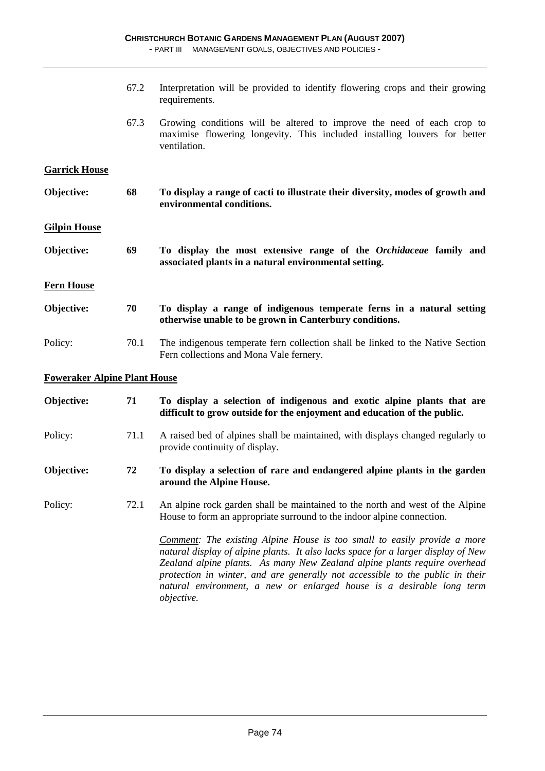|                                     | 67.2 | Interpretation will be provided to identify flowering crops and their growing<br>requirements.                                                                      |  |  |
|-------------------------------------|------|---------------------------------------------------------------------------------------------------------------------------------------------------------------------|--|--|
|                                     | 67.3 | Growing conditions will be altered to improve the need of each crop to<br>maximise flowering longevity. This included installing louvers for better<br>ventilation. |  |  |
| <b>Garrick House</b>                |      |                                                                                                                                                                     |  |  |
| Objective:                          | 68   | To display a range of cacti to illustrate their diversity, modes of growth and<br>environmental conditions.                                                         |  |  |
| <b>Gilpin House</b>                 |      |                                                                                                                                                                     |  |  |
| Objective:                          | 69   | To display the most extensive range of the Orchidaceae family and<br>associated plants in a natural environmental setting.                                          |  |  |
| <b>Fern House</b>                   |      |                                                                                                                                                                     |  |  |
| Objective:                          | 70   | To display a range of indigenous temperate ferns in a natural setting<br>otherwise unable to be grown in Canterbury conditions.                                     |  |  |
| Policy:                             | 70.1 | The indigenous temperate fern collection shall be linked to the Native Section<br>Fern collections and Mona Vale fernery.                                           |  |  |
| <b>Foweraker Alpine Plant House</b> |      |                                                                                                                                                                     |  |  |
| Objective:                          | 71   | To display a selection of indigenous and exotic alpine plants that are<br>difficult to grow outside for the enjoyment and education of the public.                  |  |  |
| Policy:                             | 71.1 | A raised bed of alpines shall be maintained, with displays changed regularly to<br>provide continuity of display.                                                   |  |  |
| Objective:                          | 72   | To display a selection of rare and endangered alpine plants in the garden<br>around the Alpine House.                                                               |  |  |

Policy: 72.1 An alpine rock garden shall be maintained to the north and west of the Alpine House to form an appropriate surround to the indoor alpine connection.

> *Comment: The existing Alpine House is too small to easily provide a more natural display of alpine plants. It also lacks space for a larger display of New Zealand alpine plants. As many New Zealand alpine plants require overhead protection in winter, and are generally not accessible to the public in their natural environment, a new or enlarged house is a desirable long term objective.*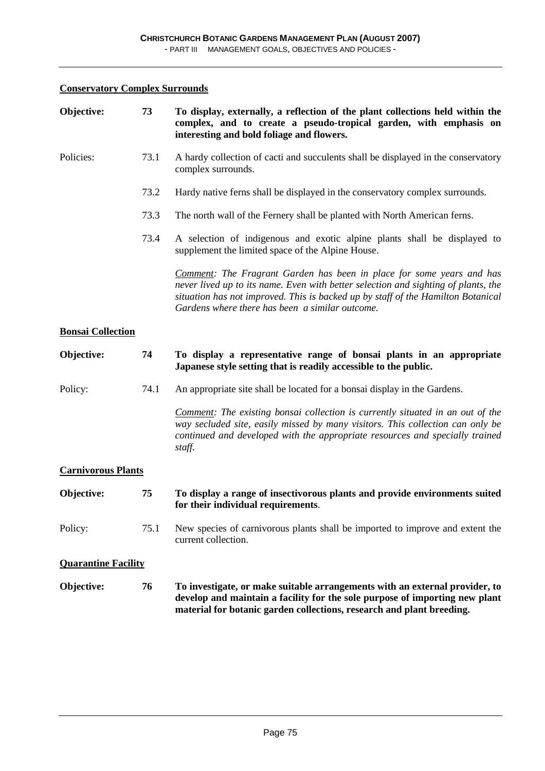### **Conservatory Complex Surrounds**

| Objective:                 | 73   | To display, externally, a reflection of the plant collections held within the<br>complex, and to create a pseudo-tropical garden, with emphasis on<br>interesting and bold foliage and flowers.                                                                                                           |  |  |
|----------------------------|------|-----------------------------------------------------------------------------------------------------------------------------------------------------------------------------------------------------------------------------------------------------------------------------------------------------------|--|--|
| Policies:                  | 73.1 | A hardy collection of cacti and succulents shall be displayed in the conservatory<br>complex surrounds.                                                                                                                                                                                                   |  |  |
|                            | 73.2 | Hardy native ferns shall be displayed in the conservatory complex surrounds.                                                                                                                                                                                                                              |  |  |
|                            | 73.3 | The north wall of the Fernery shall be planted with North American ferns.                                                                                                                                                                                                                                 |  |  |
|                            | 73.4 | A selection of indigenous and exotic alpine plants shall be displayed to<br>supplement the limited space of the Alpine House.                                                                                                                                                                             |  |  |
|                            |      | <b>Comment:</b> The Fragrant Garden has been in place for some years and has<br>never lived up to its name. Even with better selection and sighting of plants, the<br>situation has not improved. This is backed up by staff of the Hamilton Botanical<br>Gardens where there has been a similar outcome. |  |  |
| <b>Bonsai Collection</b>   |      |                                                                                                                                                                                                                                                                                                           |  |  |
| Objective:                 | 74   | To display a representative range of bonsai plants in an appropriate<br>Japanese style setting that is readily accessible to the public.                                                                                                                                                                  |  |  |
| Policy:                    | 74.1 | An appropriate site shall be located for a bonsai display in the Gardens.                                                                                                                                                                                                                                 |  |  |
|                            |      | Comment: The existing bonsai collection is currently situated in an out of the<br>way secluded site, easily missed by many visitors. This collection can only be<br>continued and developed with the appropriate resources and specially trained<br>staff.                                                |  |  |
| <b>Carnivorous Plants</b>  |      |                                                                                                                                                                                                                                                                                                           |  |  |
| Objective:                 | 75   | To display a range of insectivorous plants and provide environments suited<br>for their individual requirements.                                                                                                                                                                                          |  |  |
| Policy:                    | 75.1 | New species of carnivorous plants shall be imported to improve and extent the<br>current collection.                                                                                                                                                                                                      |  |  |
| <b>Quarantine Facility</b> |      |                                                                                                                                                                                                                                                                                                           |  |  |
| Objective:                 | 76   | To investigate, or make suitable arrangements with an external provider, to<br>develop and maintain a facility for the sole purpose of importing new plant<br>material for botanic garden collections, research and plant breeding.                                                                       |  |  |